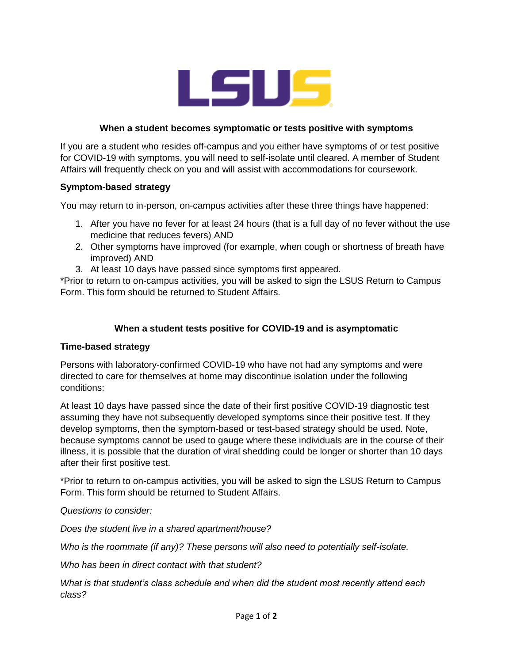

## **When a student becomes symptomatic or tests positive with symptoms**

If you are a student who resides off-campus and you either have symptoms of or test positive for COVID-19 with symptoms, you will need to self-isolate until cleared. A member of Student Affairs will frequently check on you and will assist with accommodations for coursework.

### **Symptom-based strategy**

You may return to in-person, on-campus activities after these three things have happened:

- 1. After you have no fever for at least 24 hours (that is a full day of no fever without the use medicine that reduces fevers) AND
- 2. Other symptoms have improved (for example, when cough or shortness of breath have improved) AND
- 3. At least 10 days have passed since symptoms first appeared.

\*Prior to return to on-campus activities, you will be asked to sign the LSUS Return to Campus Form. This form should be returned to Student Affairs.

## **When a student tests positive for COVID-19 and is asymptomatic**

#### **Time-based strategy**

Persons with laboratory-confirmed COVID-19 who have not had any symptoms and were directed to care for themselves at home may discontinue isolation under the following conditions:

At least 10 days have passed since the date of their first positive COVID-19 diagnostic test assuming they have not subsequently developed symptoms since their positive test. If they develop symptoms, then the symptom-based or test-based strategy should be used. Note, because symptoms cannot be used to gauge where these individuals are in the course of their illness, it is possible that the duration of viral shedding could be longer or shorter than 10 days after their first positive test.

\*Prior to return to on-campus activities, you will be asked to sign the LSUS Return to Campus Form. This form should be returned to Student Affairs.

*Questions to consider:*

*Does the student live in a shared apartment/house?*

*Who is the roommate (if any)? These persons will also need to potentially self-isolate.*

*Who has been in direct contact with that student?*

*What is that student's class schedule and when did the student most recently attend each class?*